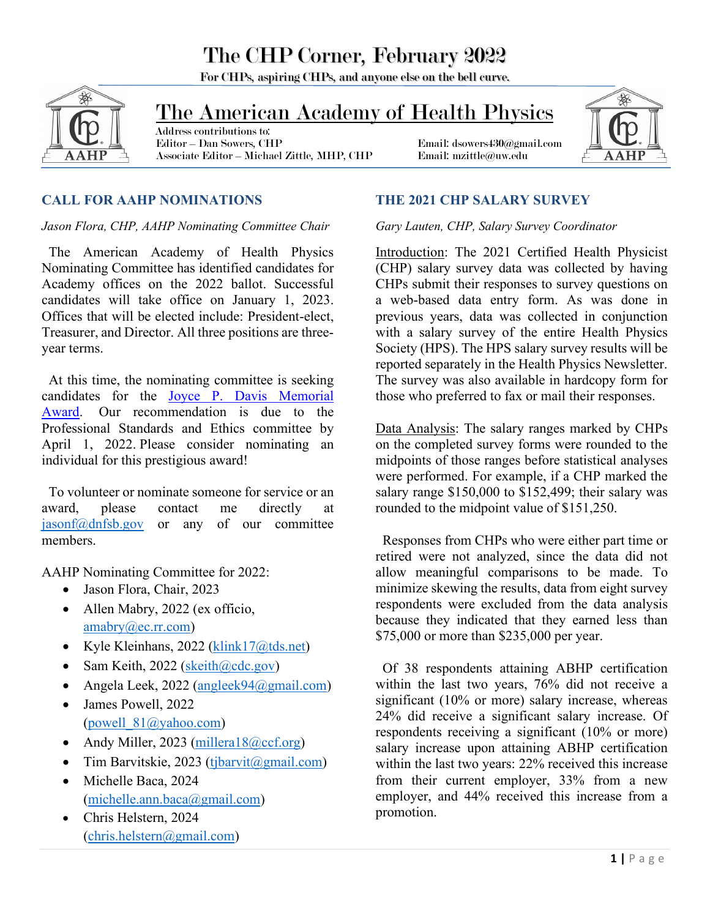For CHPs, aspiring CHPs, and anyone else on the bell curve.



## The American Academy of Health Physics

 Address contributions to: Associate Editor – Michael Zittle, MHP, CHP Email: mzittle@uw.edu

Email: dsowers430@gmail.com



### **CALL FOR AAHP NOMINATIONS**

#### *Jason Flora, CHP, AAHP Nominating Committee Chair*

 The American Academy of Health Physics Nominating Committee has identified candidates for Academy offices on the 2022 ballot. Successful candidates will take office on January 1, 2023. Offices that will be elected include: President-elect, Treasurer, and Director. All three positions are threeyear terms.

 At this time, the nominating committee is seeking candidates for the Joyce P. [Davis Memorial](https://www.aahp-abhp.org/awards)  [Award.](https://www.aahp-abhp.org/awards) Our recommendation is due to the Professional Standards and Ethics committee by April 1, 2022. Please consider nominating an individual for this prestigious award!

 To volunteer or nominate someone for service or an award, please contact me directly at [jasonf@dnfsb.gov](mailto:jasonf@dnfsb.gov) or any of our committee members.

AAHP Nominating Committee for 2022:

- Jason Flora, Chair, 2023
- Allen Mabry, 2022 (ex officio, [amabry@ec.rr.com\)](mailto:amabry@ec.rr.com)
- Kyle Kleinhans, 2022 (klink $17$   $\omega$ tds.net)
- Sam Keith, 2022 ( $\text{skeith}(\partial \text{cdc.gov})$
- Angela Leek, 2022 [\(angleek94@gmail.com\)](mailto:angleek94@gmail.com)
- James Powell, 2022 (powell  $81@$ yahoo.com)
- Andy Miller, 2023 [\(millera18@ccf.org\)](mailto:millera18@ccf.org)
- Tim Barvitskie, 2023 [\(tjbarvit@gmail.com\)](mailto:tjbarvit@gmail.com)
- Michelle Baca, 2024 [\(michelle.ann.baca@gmail.com\)](mailto:michelle.ann.baca@gmail.com)
- Chris Helstern, 2024  $(chris.helstern@gmail.com)$

### **THE 2021 CHP SALARY SURVEY**

### *Gary Lauten, CHP, Salary Survey Coordinator*

Introduction: The 2021 Certified Health Physicist (CHP) salary survey data was collected by having CHPs submit their responses to survey questions on a web-based data entry form. As was done in previous years, data was collected in conjunction with a salary survey of the entire Health Physics Society (HPS). The HPS salary survey results will be reported separately in the Health Physics Newsletter. The survey was also available in hardcopy form for those who preferred to fax or mail their responses.

Data Analysis: The salary ranges marked by CHPs on the completed survey forms were rounded to the midpoints of those ranges before statistical analyses were performed. For example, if a CHP marked the salary range \$150,000 to \$152,499; their salary was rounded to the midpoint value of \$151,250.

 Responses from CHPs who were either part time or retired were not analyzed, since the data did not allow meaningful comparisons to be made. To minimize skewing the results, data from eight survey respondents were excluded from the data analysis because they indicated that they earned less than \$75,000 or more than \$235,000 per year.

 Of 38 respondents attaining ABHP certification within the last two years, 76% did not receive a significant (10% or more) salary increase, whereas 24% did receive a significant salary increase. Of respondents receiving a significant (10% or more) salary increase upon attaining ABHP certification within the last two years: 22% received this increase from their current employer, 33% from a new employer, and 44% received this increase from a promotion.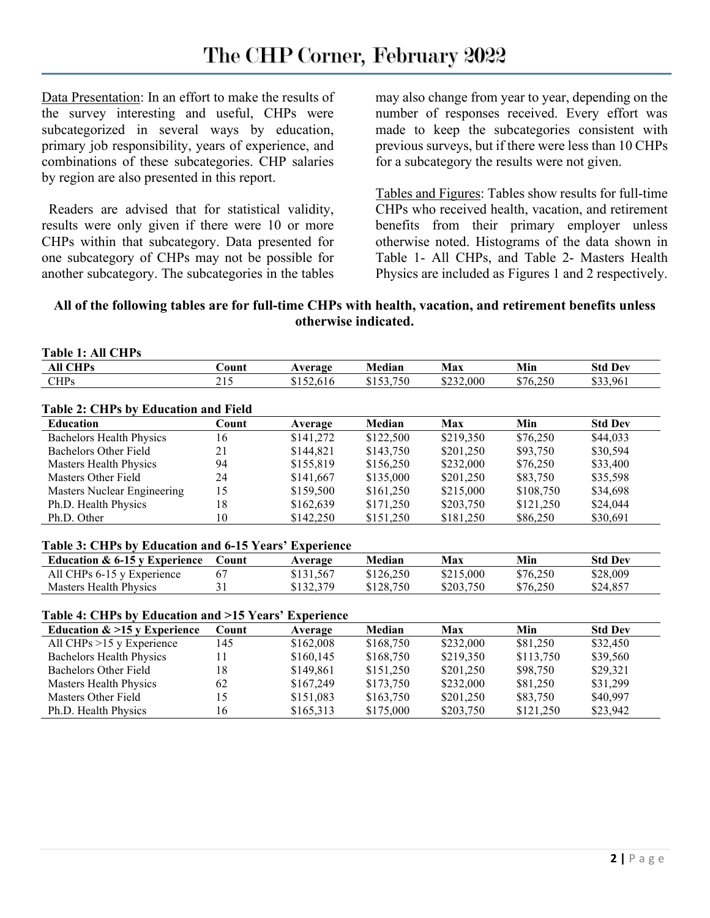Data Presentation: In an effort to make the results of the survey interesting and useful, CHPs were subcategorized in several ways by education, primary job responsibility, years of experience, and combinations of these subcategories. CHP salaries by region are also presented in this report.

 Readers are advised that for statistical validity, results were only given if there were 10 or more CHPs within that subcategory. Data presented for one subcategory of CHPs may not be possible for another subcategory. The subcategories in the tables may also change from year to year, depending on the number of responses received. Every effort was made to keep the subcategories consistent with previous surveys, but if there were less than 10 CHPs for a subcategory the results were not given.

Tables and Figures: Tables show results for full-time CHPs who received health, vacation, and retirement benefits from their primary employer unless otherwise noted. Histograms of the data shown in Table 1- All CHPs, and Table 2- Masters Health Physics are included as Figures 1 and 2 respectively.

### **All of the following tables are for full-time CHPs with health, vacation, and retirement benefits unless otherwise indicated.**

| <b>Table 1: All CHPs</b>                    |       |           |           |            |           |                |
|---------------------------------------------|-------|-----------|-----------|------------|-----------|----------------|
| <b>All CHPs</b>                             | Count | Average   | Median    | Max        | Min       | <b>Std Dev</b> |
| CHPs                                        | 215   | \$152,616 | \$153,750 | \$232,000  | \$76,250  | \$33,961       |
| <b>Table 2: CHPs by Education and Field</b> |       |           |           |            |           |                |
| <b>Education</b>                            | Count | Average   | Median    | <b>Max</b> | Min       | <b>Std Dev</b> |
| Bachelors Health Physics                    | 16    | \$141,272 | \$122,500 | \$219,350  | \$76,250  | \$44,033       |
| Bachelors Other Field                       | 21    | \$144,821 | \$143,750 | \$201,250  | \$93,750  | \$30,594       |
| Masters Health Physics                      | 94    | \$155,819 | \$156,250 | \$232,000  | \$76,250  | \$33,400       |
| Masters Other Field                         | 24    | \$141,667 | \$135,000 | \$201,250  | \$83,750  | \$35,598       |
| Masters Nuclear Engineering                 | 15    | \$159,500 | \$161,250 | \$215,000  | \$108,750 | \$34,698       |
| Ph.D. Health Physics                        | 18    | \$162,639 | \$171,250 | \$203,750  | \$121,250 | \$24,044       |
| Ph.D. Other                                 | 10    | \$142,250 | \$151,250 | \$181,250  | \$86,250  | \$30,691       |

#### **Table 3: CHPs by Education and 6-15 Years' Experience**

| Education $\&$ 6-15 v Experience | Count | Average   | Median    | Max       | Min      | <b>Std Dev</b> |
|----------------------------------|-------|-----------|-----------|-----------|----------|----------------|
| All CHPs 6-15 y Experience       |       | \$131,567 | \$126,250 | \$215,000 | \$76,250 | \$28,009       |
| Masters Health Physics           |       | \$132,379 | \$128,750 | \$203.750 | \$76,250 | \$24,857       |

#### **Table 4: CHPs by Education and >15 Years' Experience**

| Education $\&$ >15 y Experience | Count | Average   | Median    | Max       | Min       | <b>Std Dev</b> |
|---------------------------------|-------|-----------|-----------|-----------|-----------|----------------|
| All CHPs $>15$ y Experience     | 145   | \$162,008 | \$168.750 | \$232,000 | \$81,250  | \$32,450       |
| Bachelors Health Physics        |       | \$160,145 | \$168,750 | \$219,350 | \$113,750 | \$39,560       |
| Bachelors Other Field           | 18    | \$149,861 | \$151,250 | \$201,250 | \$98,750  | \$29,321       |
| Masters Health Physics          | 62    | \$167,249 | \$173,750 | \$232,000 | \$81,250  | \$31,299       |
| Masters Other Field             |       | \$151,083 | \$163,750 | \$201,250 | \$83,750  | \$40,997       |
| Ph.D. Health Physics            | 16    | \$165,313 | \$175,000 | \$203,750 | \$121,250 | \$23,942       |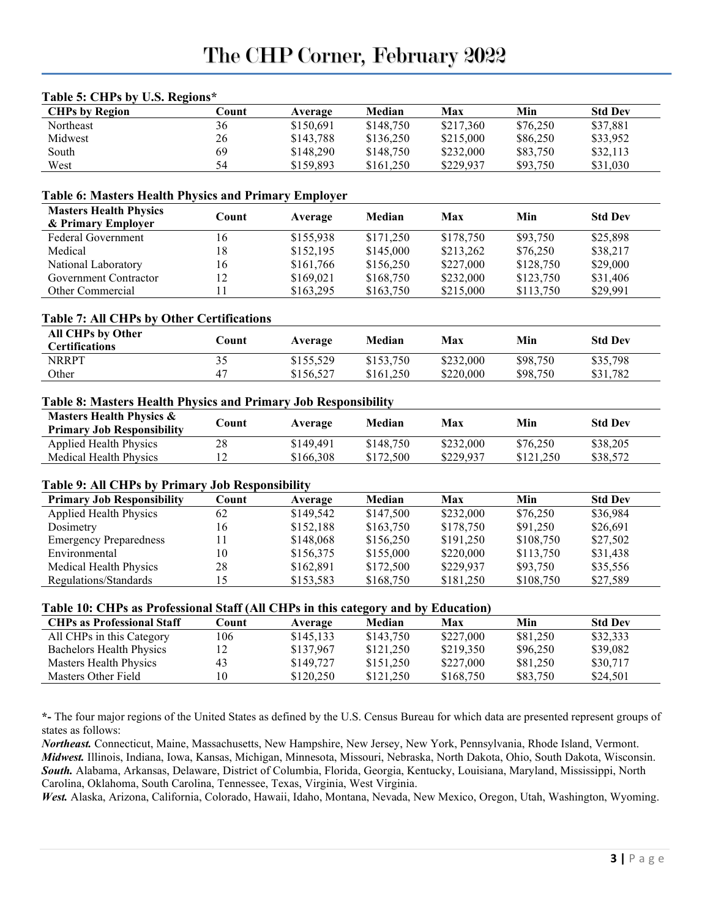| <b>CHPs by Region</b>                                                                                                                                                                 | Count  | Average   | Median    | Max        | Min       | <b>Std Dev</b>             |
|---------------------------------------------------------------------------------------------------------------------------------------------------------------------------------------|--------|-----------|-----------|------------|-----------|----------------------------|
| Northeast                                                                                                                                                                             | 36     | \$150,691 | \$148,750 | \$217,360  | \$76,250  | \$37,881                   |
| Midwest                                                                                                                                                                               | 26     | \$143,788 | \$136,250 | \$215,000  | \$86,250  | \$33,952                   |
| South                                                                                                                                                                                 | 69     | \$148,290 | \$148,750 | \$232,000  | \$83,750  | \$32,113                   |
| West                                                                                                                                                                                  | 54     | \$159,893 | \$161,250 | \$229,937  | \$93,750  | \$31,030                   |
|                                                                                                                                                                                       |        |           |           |            |           |                            |
| <b>Table 6: Masters Health Physics and Primary Employer</b><br><b>Masters Health Physics</b>                                                                                          |        |           |           |            |           |                            |
| & Primary Employer                                                                                                                                                                    | Count  | Average   | Median    | <b>Max</b> | Min       | <b>Std Dev</b>             |
| <b>Federal Government</b>                                                                                                                                                             | 16     | \$155,938 | \$171,250 | \$178,750  | \$93,750  | \$25,898                   |
| Medical                                                                                                                                                                               | 18     | \$152,195 | \$145,000 | \$213,262  | \$76,250  | \$38,217                   |
| National Laboratory                                                                                                                                                                   | 16     | \$161,766 | \$156,250 | \$227,000  | \$128,750 | \$29,000                   |
| <b>Government Contractor</b>                                                                                                                                                          | 12     | \$169,021 | \$168,750 | \$232,000  | \$123,750 | \$31,406                   |
| Other Commercial                                                                                                                                                                      | 11     | \$163,295 | \$163,750 | \$215,000  | \$113,750 | \$29,991                   |
| <b>Table 7: All CHPs by Other Certifications</b>                                                                                                                                      |        |           |           |            |           |                            |
| All CHPs by Other<br><b>Certifications</b>                                                                                                                                            | Count  | Average   | Median    | <b>Max</b> | Min       | <b>Std Dev</b>             |
| <b>NRRPT</b>                                                                                                                                                                          | 35     | \$155,529 | \$153,750 | \$232,000  | \$98,750  | \$35,798                   |
| Other                                                                                                                                                                                 | 47     | \$156,527 | \$161,250 | \$220,000  | \$98,750  | \$31,782                   |
|                                                                                                                                                                                       |        |           |           |            |           |                            |
| Table 8: Masters Health Physics and Primary Job Responsibility                                                                                                                        |        |           |           |            |           |                            |
|                                                                                                                                                                                       |        |           |           |            |           |                            |
| <b>Masters Health Physics &amp;</b>                                                                                                                                                   | Count  | Average   | Median    | <b>Max</b> | Min       |                            |
| <b>Primary Job Responsibility</b>                                                                                                                                                     |        |           |           |            |           |                            |
| <b>Applied Health Physics</b>                                                                                                                                                         | $28\,$ | \$149,491 | \$148,750 | \$232,000  | \$76,250  | <b>Std Dev</b><br>\$38,205 |
| Medical Health Physics                                                                                                                                                                | 12     | \$166,308 | \$172,500 | \$229,937  | \$121,250 | \$38,572                   |
|                                                                                                                                                                                       |        |           |           |            |           |                            |
| <b>Primary Job Responsibility</b>                                                                                                                                                     | Count  | Average   | Median    | <b>Max</b> | Min       |                            |
| <b>Applied Health Physics</b>                                                                                                                                                         | 62     | \$149,542 | \$147,500 | \$232,000  | \$76,250  | <b>Std Dev</b><br>\$36,984 |
| Dosimetry                                                                                                                                                                             | 16     | \$152,188 | \$163,750 | \$178,750  | \$91,250  | \$26,691                   |
| <b>Emergency Preparedness</b>                                                                                                                                                         | 11     | \$148,068 | \$156,250 | \$191,250  | \$108,750 | \$27,502                   |
| Environmental                                                                                                                                                                         | $10\,$ | \$156,375 | \$155,000 | \$220,000  | \$113,750 | \$31,438                   |
| Medical Health Physics                                                                                                                                                                | 28     | \$162,891 | \$172,500 | \$229,937  | \$93,750  | \$35,556                   |
| Regulations/Standards                                                                                                                                                                 | 15     | \$153,583 | \$168,750 | \$181,250  | \$108,750 | \$27,589                   |
|                                                                                                                                                                                       |        |           |           |            |           |                            |
| <b>CHPs</b> as Professional Staff                                                                                                                                                     | Count  |           | Median    | Max        | Min       | <b>Std Dev</b>             |
|                                                                                                                                                                                       | 106    | Average   |           | \$227,000  |           |                            |
| All CHPs in this Category                                                                                                                                                             |        | \$145,133 | \$143,750 |            | \$81,250  | \$32,333                   |
| <b>Bachelors Health Physics</b>                                                                                                                                                       | 12     | \$137,967 | \$121,250 | \$219,350  | \$96,250  | \$39,082<br>\$30,717       |
| Table 9: All CHPs by Primary Job Responsibility<br>Table 10: CHPs as Professional Staff (All CHPs in this category and by Education)<br>Masters Health Physics<br>Masters Other Field | 43     | \$149,727 | \$151,250 | \$227,000  | \$81,250  |                            |

#### **Table 5: CHPs by U.S. Regions\***

states as follows:

*Northeast.* Connecticut, Maine, Massachusetts, New Hampshire, New Jersey, New York, Pennsylvania, Rhode Island, Vermont. *Midwest.* Illinois, Indiana, Iowa, Kansas, Michigan, Minnesota, Missouri, Nebraska, North Dakota, Ohio, South Dakota, Wisconsin. *South.* Alabama, Arkansas, Delaware, District of Columbia, Florida, Georgia, Kentucky, Louisiana, Maryland, Mississippi, North Carolina, Oklahoma, South Carolina, Tennessee, Texas, Virginia, West Virginia.

*West.* Alaska, Arizona, California, Colorado, Hawaii, Idaho, Montana, Nevada, New Mexico, Oregon, Utah, Washington, Wyoming.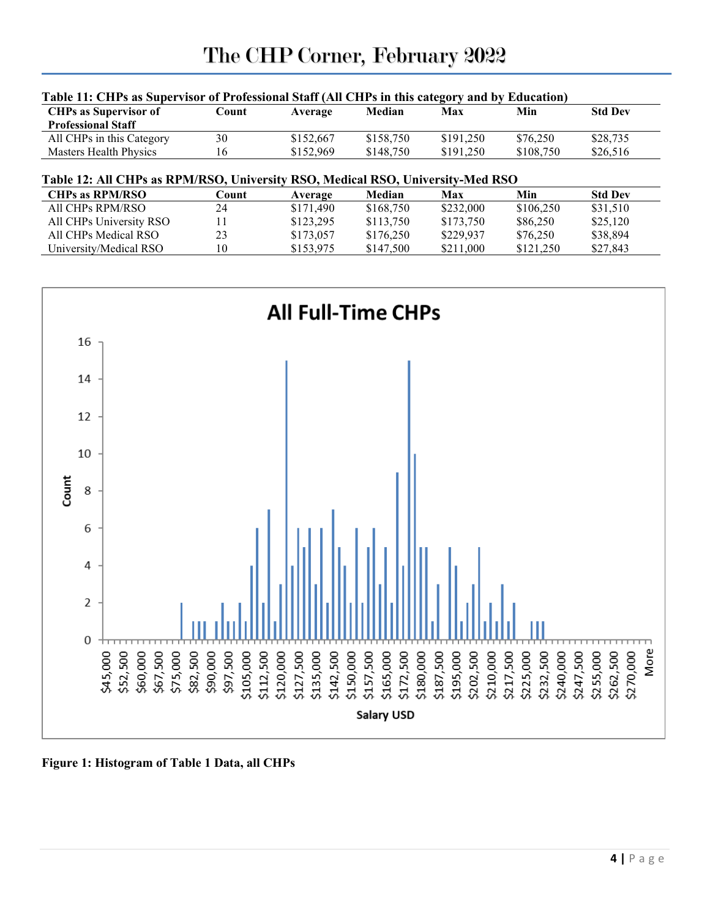| Table 11: CHPs as Supervisor of Professional Staff (All CHPs in this category and by Education)          |       |           |           |            |           |                |  |
|----------------------------------------------------------------------------------------------------------|-------|-----------|-----------|------------|-----------|----------------|--|
| <b>CHPs as Supervisor of</b>                                                                             | Count | Average   | Median    | Max        | Min       | <b>Std Dev</b> |  |
| <b>Professional Staff</b>                                                                                |       |           |           |            |           |                |  |
| All CHPs in this Category                                                                                | 30    | \$152,667 | \$158,750 | \$191,250  | \$76,250  | \$28,735       |  |
| Masters Health Physics                                                                                   | 16    | \$152,969 | \$148,750 | \$191,250  | \$108,750 | \$26,516       |  |
|                                                                                                          |       |           |           |            |           |                |  |
|                                                                                                          |       |           |           |            |           |                |  |
| Table 12: All CHPs as RPM/RSO, University RSO, Medical RSO, University-Med RSO<br><b>CHPs as RPM/RSO</b> | Count | Average   | Median    | <b>Max</b> | Min       | <b>Std Dev</b> |  |
| All CHPs RPM/RSO                                                                                         | 24    | \$171,490 | \$168,750 | \$232,000  | \$106,250 | \$31,510       |  |
| All CHPs University RSO                                                                                  | 11    | \$123,295 | \$113,750 | \$173,750  | \$86,250  | \$25,120       |  |
| All CHPs Medical RSO                                                                                     | 23    | \$173,057 | \$176,250 | \$229,937  | \$76,250  | \$38,894       |  |



**Figure 1: Histogram of Table 1 Data, all CHPs**